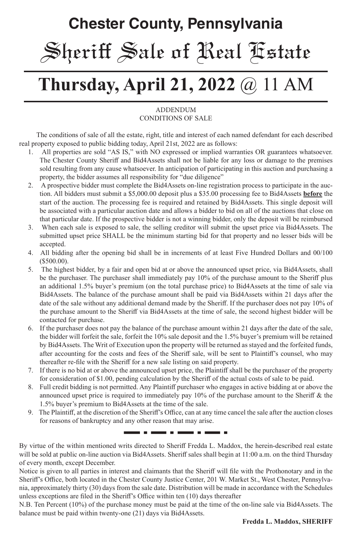# **Chester County, Pennsylvania** Sheriff Sale of Real Estate

# **Thursday, April 21, 2022** @ 11 AM

#### **ADDENDUM** CONDITIONS OF SALE

 The conditions of sale of all the estate, right, title and interest of each named defendant for each described real property exposed to public bidding today, April 21st, 2022 are as follows:

- 1. All properties are sold "AS IS," with NO expressed or implied warranties OR guarantees whatsoever. The Chester County Sheriff and Bid4Assets shall not be liable for any loss or damage to the premises sold resulting from any cause whatsoever. In anticipation of participating in this auction and purchasing a property, the bidder assumes all responsibility for "due diligence"
- 2. A prospective bidder must complete the Bid4Assets on-line registration process to participate in the auction. All bidders must submit a \$5,000.00 deposit plus a \$35.00 processing fee to Bid4Assets **before** the start of the auction. The processing fee is required and retained by Bid4Assets. This single deposit will be associated with a particular auction date and allows a bidder to bid on all of the auctions that close on that particular date. If the prospective bidder is not a winning bidder, only the deposit will be reimbursed
- 3. When each sale is exposed to sale, the selling creditor will submit the upset price via Bid4Assets. The submitted upset price SHALL be the minimum starting bid for that property and no lesser bids will be accepted.
- 4. All bidding after the opening bid shall be in increments of at least Five Hundred Dollars and 00/100 (\$500.00).
- 5. The highest bidder, by a fair and open bid at or above the announced upset price, via Bid4Assets, shall be the purchaser. The purchaser shall immediately pay 10% of the purchase amount to the Sheriff plus an additional 1.5% buyer's premium (on the total purchase price) to Bid4Assets at the time of sale via Bid4Assets. The balance of the purchase amount shall be paid via Bid4Assets within 21 days after the date of the sale without any additional demand made by the Sheriff. If the purchaser does not pay 10% of the purchase amount to the Sheriff via Bid4Assets at the time of sale, the second highest bidder will be contacted for purchase.
- 6. If the purchaser does not pay the balance of the purchase amount within 21 days after the date of the sale, the bidder will forfeit the sale, forfeit the 10% sale deposit and the 1.5% buyer's premium will be retained by Bid4Assets. The Writ of Execution upon the property will be returned as stayed and the forfeited funds, after accounting for the costs and fees of the Sheriff sale, will be sent to Plaintiff's counsel, who may thereafter re-file with the Sheriff for a new sale listing on said property.
- 7. If there is no bid at or above the announced upset price, the Plaintiff shall be the purchaser of the property for consideration of \$1.00, pending calculation by the Sheriff of the actual costs of sale to be paid.
- 8. Full credit bidding is not permitted. Any Plaintiff purchaser who engages in active bidding at or above the announced upset price is required to immediately pay 10% of the purchase amount to the Sheriff & the 1.5% buyer's premium to Bid4Assets at the time of the sale.
- 9. The Plaintiff, at the discretion of the Sheriff's Office, can at any time cancel the sale after the auction closes for reasons of bankruptcy and any other reason that may arise.

-----

By virtue of the within mentioned writs directed to Sheriff Fredda L. Maddox, the herein-described real estate will be sold at public on-line auction via Bid4Assets. Sheriff sales shall begin at 11:00 a.m. on the third Thursday of every month, except December.

- - -

. . .

Notice is given to all parties in interest and claimants that the Sheriff will file with the Prothonotary and in the Sheriff's Office, both located in the Chester County Justice Center, 201 W. Market St., West Chester, Pennsylvania, approximately thirty (30) days from the sale date. Distribution will be made in accordance with the Schedules unless exceptions are filed in the Sheriff's Office within ten (10) days thereafter

N.B. Ten Percent (10%) of the purchase money must be paid at the time of the on-line sale via Bid4Assets. The balance must be paid within twenty-one (21) days via Bid4Assets.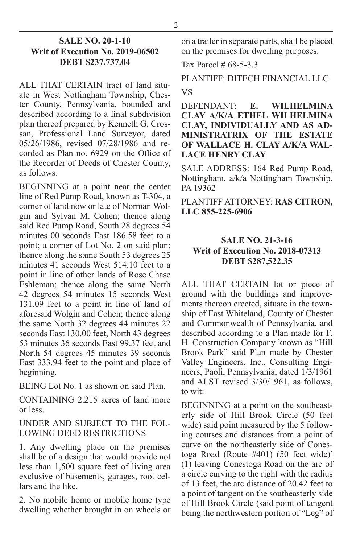#### **SALE NO. 20-1-10 Writ of Execution No. 2019-06502 DEBT \$237,737.04**

ALL THAT CERTAIN tract of land situate in West Nottingham Township, Chester County, Pennsylvania, bounded and described according to a final subdivision plan thereof prepared by Kenneth G. Crossan, Professional Land Surveyor, dated 05/26/1986, revised 07/28/1986 and recorded as Plan no. 6929 on the Office of the Recorder of Deeds of Chester County, as follows:

BEGINNING at a point near the center line of Red Pump Road, known as T-304, a corner of land now or late of Norman Wolgin and Sylvan M. Cohen; thence along said Red Pump Road, South 28 degrees 54 minutes 00 seconds East 186.58 feet to a point; a corner of Lot No. 2 on said plan; thence along the same South 53 degrees 25 minutes 41 seconds West 514.10 feet to a point in line of other lands of Rose Chase Eshleman; thence along the same North 42 degrees 54 minutes 15 seconds West 131.09 feet to a point in line of land of aforesaid Wolgin and Cohen; thence along the same North 32 degrees 44 minutes 22 seconds East 130.00 feet, North 43 degrees 53 minutes 36 seconds East 99.37 feet and North 54 degrees 45 minutes 39 seconds East 333.94 feet to the point and place of beginning.

BEING Lot No. 1 as shown on said Plan.

CONTAINING 2.215 acres of land more or less.

UNDER AND SUBJECT TO THE FOL-LOWING DEED RESTRICTIONS

1. Any dwelling place on the premises shall be of a design that would provide not less than 1,500 square feet of living area exclusive of basements, garages, root cellars and the like.

2. No mobile home or mobile home type dwelling whether brought in on wheels or

on a trailer in separate parts, shall be placed on the premises for dwelling purposes.

Tax Parcel # 68-5-3.3

PLANTIFF: DITECH FINANCIAL LLC VS

DEFENDANT: **E. WILHELMINA CLAY A/K/A ETHEL WILHELMINA CLAY, INDIVIDUALLY AND AS AD-MINISTRATRIX OF THE ESTATE OF WALLACE H. CLAY A/K/A WAL-LACE HENRY CLAY**

SALE ADDRESS: 164 Red Pump Road, Nottingham, a/k/a Nottingham Township, PA 19362

PLANTIFF ATTORNEY: **RAS CITRON, LLC 855-225-6906**

#### **SALE NO. 21-3-16 Writ of Execution No. 2018-07313 DEBT \$287,522.35**

ALL THAT CERTAIN lot or piece of ground with the buildings and improvements thereon erected, situate in the township of East Whiteland, County of Chester and Commonwealth of Pennsylvania, and described according to a Plan made for F. H. Construction Company known as "Hill Brook Park" said Plan made by Chester Valley Engineers, Inc., Consulting Engineers, Paoli, Pennsylvania, dated 1/3/1961 and ALST revised 3/30/1961, as follows, to wit:

BEGINNING at a point on the southeasterly side of Hill Brook Circle (50 feet wide) said point measured by the 5 following courses and distances from a point of curve on the northeasterly side of Conestoga Road (Route #401) (50 feet wide)' (1) leaving Conestoga Road on the arc of a circle curving to the right with the radius of 13 feet, the arc distance of 20.42 feet to a point of tangent on the southeasterly side of Hill Brook Circle (said point of tangent being the northwestern portion of "Leg" of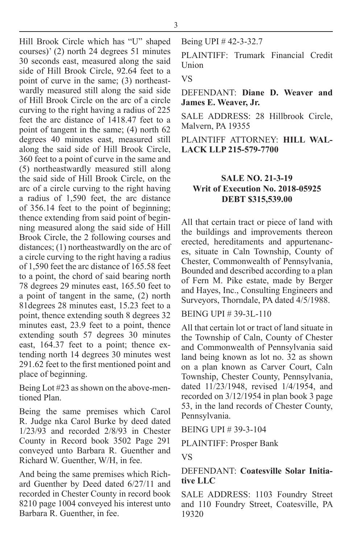Hill Brook Circle which has "U" shaped courses)' (2) north 24 degrees 51 minutes 30 seconds east, measured along the said side of Hill Brook Circle, 92.64 feet to a point of curve in the same; (3) northeastwardly measured still along the said side of Hill Brook Circle on the arc of a circle curving to the right having a radius of 225 feet the arc distance of 1418.47 feet to a point of tangent in the same; (4) north 62 degrees 40 minutes east, measured still along the said side of Hill Brook Circle, 360 feet to a point of curve in the same and (5) northeastwardly measured still along the said side of Hill Brook Circle, on the arc of a circle curving to the right having a radius of 1,590 feet, the arc distance of 356.14 feet to the point of beginning; thence extending from said point of beginning measured along the said side of Hill Brook Circle, the 2 following courses and distances; (1) northeastwardly on the arc of a circle curving to the right having a radius of 1,590 feet the arc distance of 165.58 feet to a point, the chord of said bearing north 78 degrees 29 minutes east, 165.50 feet to a point of tangent in the same, (2) north 81degrees 28 minutes east, 15.23 feet to a point, thence extending south 8 degrees 32 minutes east, 23.9 feet to a point, thence extending south 57 degrees 30 minutes east, 164.37 feet to a point; thence extending north 14 degrees 30 minutes west 291.62 feet to the first mentioned point and place of beginning.

Being Lot #23 as shown on the above-mentioned Plan.

Being the same premises which Carol R. Judge nka Carol Burke by deed dated 1/23/93 and recorded 2/8/93 in Chester County in Record book 3502 Page 291 conveyed unto Barbara R. Guenther and Richard W. Guenther, W/H, in fee.

And being the same premises which Richard Guenther by Deed dated 6/27/11 and recorded in Chester County in record book 8210 page 1004 conveyed his interest unto Barbara R. Guenther, in fee.

Being UPI # 42-3-32.7

PLAINTIFF: Trumark Financial Credit Union

#### VS

DEFENDANT: **Diane D. Weaver and James E. Weaver, Jr.**

SALE ADDRESS: 28 Hillbrook Circle, Malvern, PA 19355

PLAINTIFF ATTORNEY: **HILL WAL-LACK LLP 215-579-7700**

#### **SALE NO. 21-3-19 Writ of Execution No. 2018-05925 DEBT \$315,539.00**

All that certain tract or piece of land with the buildings and improvements thereon erected, hereditaments and appurtenances, situate in Caln Township, County of Chester, Commonwealth of Pennsylvania, Bounded and described according to a plan of Fern M. Pike estate, made by Berger and Hayes, Inc., Consulting Engineers and Surveyors, Thorndale, PA dated 4/5/1988.

BEING UPI # 39-3L-110

All that certain lot or tract of land situate in the Township of Caln, County of Chester and Commonwealth of Pennsylvania said land being known as lot no. 32 as shown on a plan known as Carver Court, Caln Township, Chester County, Pennsylvania, dated 11/23/1948, revised 1/4/1954, and recorded on 3/12/1954 in plan book 3 page 53, in the land records of Chester County, Pennsylvania.

BEING UPI # 39-3-104

PLAINTIFF: Prosper Bank

VS

#### DEFENDANT: **Coatesville Solar Initiative LLC**

SALE ADDRESS: 1103 Foundry Street and 110 Foundry Street, Coatesville, PA 19320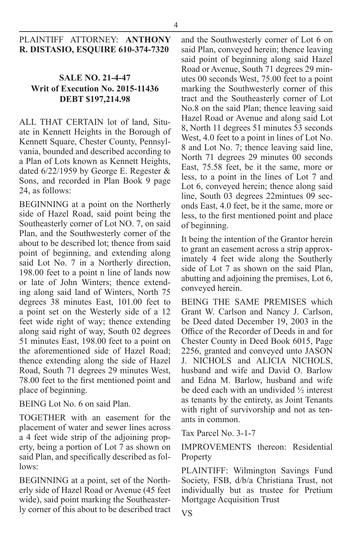#### PLAINTIFF ATTORNEY: **ANTHONY R. DISTASIO, ESQUIRE 610-374-7320**

#### **SALE NO. 21-4-47 Writ of Execution No. 2015-11436 DEBT \$197,214.98**

ALL THAT CERTAIN lot of land, Situate in Kennett Heights in the Borough of Kennett Square, Chester County, Pennsylvania, bounded and described according to a Plan of Lots known as Kennett Heights, dated 6/22/1959 by George E. Regester & Sons, and recorded in Plan Book 9 page 24, as follows:

BEGINNING at a point on the Northerly side of Hazel Road, said point being the Southeasterly corner of Lot NO. 7, on said Plan, and the Southwesterly corner of the about to be described lot; thence from said point of beginning, and extending along said Lot No. 7 in a Northerly direction, 198.00 feet to a point n line of lands now or late of John Winters; thence extending along said land of Winters, North 75 degrees 38 minutes East, 101.00 feet to a point set on the Westerly side of a 12 feet wide right of way; thence extending along said right of way, South 02 degrees 51 minutes East, 198.00 feet to a point on the aforementioned side of Hazel Road; thence extending along the side of Hazel Road, South 71 degrees 29 minutes West, 78.00 feet to the first mentioned point and place of beginning.

BEING Lot No. 6 on said Plan.

TOGETHER with an easement for the placement of water and sewer lines across a 4 feet wide strip of the adjoining property, being a portion of Lot 7 as shown on said Plan, and specifically described as follows:

BEGINNING at a point, set of the Northerly side of Hazel Road or Avenue (45 feet wide), said point marking the Southeasterly corner of this about to be described tract and the Southwesterly corner of Lot 6 on said Plan, conveyed herein; thence leaving said point of beginning along said Hazel Road or Avenue, South 71 degrees 29 minutes 00 seconds West, 75.00 feet to a point marking the Southwesterly corner of this tract and the Southeasterly corner of Lot No.8 on the said Plan; thence leaving said Hazel Road or Avenue and along said Lot 8, North 11 degrees 51 minutes 53 seconds West, 4.0 feet to a point in lines of Lot No. 8 and Lot No. 7; thence leaving said line, North 71 degrees 29 minutes 00 seconds East, 75.58 feet, be it the same, more or less, to a point in the lines of Lot 7 and Lot 6, conveyed herein; thence along said line, South 03 degrees 22mintues 09 seconds East, 4.0 feet, be it the same, more or less, to the first mentioned point and place of beginning.

It being the intention of the Grantor herein to grant an easement across a strip approximately 4 feet wide along the Southerly side of Lot 7 as shown on the said Plan, abutting and adjoining the premises, Lot 6, conveyed herein.

BEING THE SAME PREMISES which Grant W. Carlson and Nancy J. Carlson, be Deed dated December 19, 2003 in the Office of the Recorder of Deeds in and for Chester County in Deed Book 6015, Page 2256, granted and conveyed unto JASON J. NICHOLS and ALICIA NICHOLS, husband and wife and David O. Barlow and Edna M. Barlow, husband and wife be deed each with an undivided ½ interest as tenants by the entirety, as Joint Tenants with right of survivorship and not as tenants in common.

Tax Parcel No. 3-1-7

IMPROVEMENTS thereon: Residential Property

PLAINTIFF: Wilmington Savings Fund Society, FSB, d/b/a Christiana Trust, not individually but as trustee for Pretium Mortgage Acquisition Trust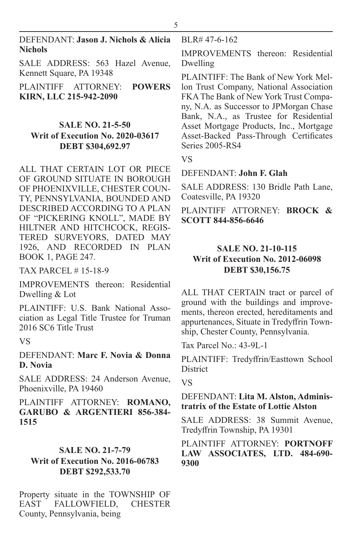SALE ADDRESS: 563 Hazel Avenue, Kennett Square, PA 19348

PLAINTIFF ATTORNEY: **POWERS KIRN, LLC 215-942-2090**

### **SALE NO. 21-5-50 Writ of Execution No. 2020-03617 DEBT \$304,692.97**

ALL THAT CERTAIN LOT OR PIECE OF GROUND SITUATE IN BOROUGH OF PHOENIXVILLE, CHESTER COUN-TY, PENNSYLVANIA, BOUNDED AND DESCRIBED ACCORDING TO A PLAN OF "PICKERING KNOLL", MADE BY HILTNER AND HITCHCOCK, REGIS-TERED SURVEYORS, DATED MAY 1926, AND RECORDED IN PLAN BOOK 1, PAGE 247.

TAX PARCEL # 15-18-9

IMPROVEMENTS thereon: Residential Dwelling & Lot

PLAINTIFF: U.S. Bank National Association as Legal Title Trustee for Truman 2016 SC6 Title Trust

VS

DEFENDANT: **Marc F. Novia & Donna D. Novia**

SALE ADDRESS: 24 Anderson Avenue, Phoenixville, PA 19460

PLAINTIFF ATTORNEY: **ROMANO, GARUBO & ARGENTIERI 856-384- 1515**

### **SALE NO. 21-7-79**

### **Writ of Execution No. 2016-06783 DEBT \$292,533.70**

Property situate in the TOWNSHIP OF EAST FALLOWFIELD, CHESTER County, Pennsylvania, being

BLR# 47-6-162

IMPROVEMENTS thereon: Residential Dwelling

PLAINTIFF: The Bank of New York Mellon Trust Company, National Association FKA The Bank of New York Trust Company, N.A. as Successor to JPMorgan Chase Bank, N.A., as Trustee for Residential Asset Mortgage Products, Inc., Mortgage Asset-Backed Pass-Through Certificates Series 2005-RS4

VS

#### DEFENDANT: **John F. Glah**

SALE ADDRESS: 130 Bridle Path Lane, Coatesville, PA 19320

PLAINTIFF ATTORNEY: **BROCK & SCOTT 844-856-6646**

#### **SALE NO. 21-10-115 Writ of Execution No. 2012-06098 DEBT \$30,156.75**

ALL THAT CERTAIN tract or parcel of ground with the buildings and improvements, thereon erected, hereditaments and appurtenances, Situate in Tredyffrin Township, Chester County, Pennsylvania.

Tax Parcel No.: 43-9L-1

PLAINTIFF: Tredyffrin/Easttown School **District** 

VS

#### DEFENDANT: **Lita M. Alston, Administratrix of the Estate of Lottie Alston**

SALE ADDRESS: 38 Summit Avenue, Tredyffrin Township, PA 19301

#### PLAINTIFF ATTORNEY: **PORTNOFF LAW ASSOCIATES, LTD. 484-690- 9300**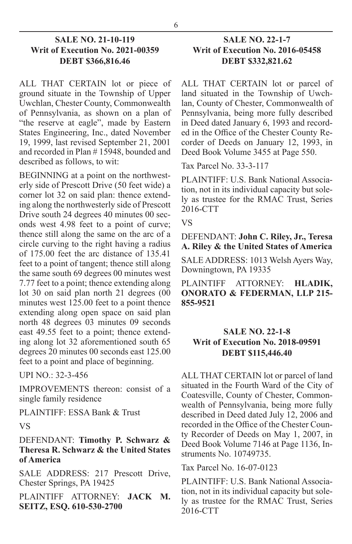#### **SALE NO. 21-10-119 Writ of Execution No. 2021-00359 DEBT \$366,816.46**

ALL THAT CERTAIN lot or piece of ground situate in the Township of Upper Uwchlan, Chester County, Commonwealth of Pennsylvania, as shown on a plan of "the reserve at eagle", made by Eastern States Engineering, Inc., dated November 19, 1999, last revised September 21, 2001 and recorded in Plan # 15948, bounded and described as follows, to wit:

BEGINNING at a point on the northwesterly side of Prescott Drive (50 feet wide) a corner lot 32 on said plan: thence extending along the northwesterly side of Prescott Drive south 24 degrees 40 minutes 00 seconds west 4.98 feet to a point of curve; thence still along the same on the arc of a circle curving to the right having a radius of 175.00 feet the arc distance of 135.41 feet to a point of tangent; thence still along the same south 69 degrees 00 minutes west 7.77 feet to a point; thence extending along lot 30 on said plan north 21 degrees (00 minutes west 125.00 feet to a point thence extending along open space on said plan north 48 degrees 03 minutes 09 seconds east 49.55 feet to a point; thence extending along lot 32 aforementioned south 65 degrees 20 minutes 00 seconds east 125.00 feet to a point and place of beginning.

UPI NO.: 32-3-456

IMPROVEMENTS thereon: consist of a single family residence

PLAINTIFF: ESSA Bank & Trust

#### VS

#### DEFENDANT: **Timothy P. Schwarz & Theresa R. Schwarz & the United States of America**

SALE ADDRESS: 217 Prescott Drive, Chester Springs, PA 19425

PLAINTIFF ATTORNEY: **JACK M. SEITZ, ESQ. 610-530-2700**

#### **SALE NO. 22-1-7 Writ of Execution No. 2016-05458 DEBT \$332,821.62**

ALL THAT CERTAIN lot or parcel of land situated in the Township of Uwchlan, County of Chester, Commonwealth of Pennsylvania, being more fully described in Deed dated January 6, 1993 and recorded in the Office of the Chester County Recorder of Deeds on January 12, 1993, in Deed Book Volume 3455 at Page 550.

Tax Parcel No. 33-3-117

PLAINTIFF: U.S. Bank National Association, not in its individual capacity but solely as trustee for the RMAC Trust, Series 2016-CTT

VS

DEFENDANT: **John C. Riley, Jr., Teresa A. Riley & the United States of America**

SALE ADDRESS: 1013 Welsh Ayers Way, Downingtown, PA 19335

PLAINTIFF ATTORNEY: **HLADIK, ONORATO & FEDERMAN, LLP 215- 855-9521**

#### **SALE NO. 22-1-8 Writ of Execution No. 2018-09591 DEBT \$115,446.40**

ALL THAT CERTAIN lot or parcel of land situated in the Fourth Ward of the City of Coatesville, County of Chester, Commonwealth of Pennsylvania, being more fully described in Deed dated July 12, 2006 and recorded in the Office of the Chester County Recorder of Deeds on May 1, 2007, in Deed Book Volume 7146 at Page 1136, Instruments No. 10749735.

Tax Parcel No. 16-07-0123

PLAINTIFF: U.S. Bank National Association, not in its individual capacity but solely as trustee for the RMAC Trust, Series 2016-CTT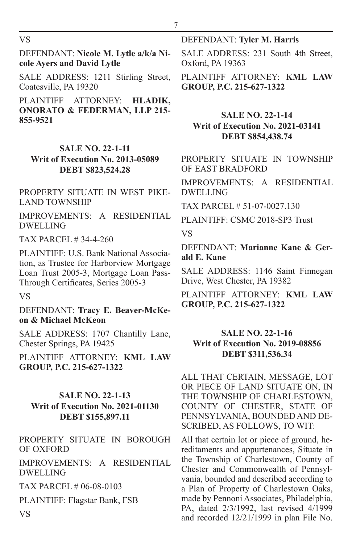VS

DEFENDANT: **Nicole M. Lytle a/k/a Nicole Ayers and David Lytle**

SALE ADDRESS: 1211 Stirling Street, Coatesville, PA 19320

PLAINTIFF ATTORNEY: **HLADIK, ONORATO & FEDERMAN, LLP 215- 855-9521**

### **SALE NO. 22-1-11 Writ of Execution No. 2013-05089 DEBT \$823,524.28**

#### PROPERTY SITUATE IN WEST PIKE-LAND TOWNSHIP

IMPROVEMENTS: A RESIDENTIAL DWELLING

TAX PARCEL # 34-4-260

PLAINTIFF: U.S. Bank National Association, as Trustee for Harborview Mortgage Loan Trust 2005-3, Mortgage Loan Pass-Through Certificates, Series 2005-3

VS

VS

DEFENDANT: **Tracy E. Beaver-McKeon & Michael McKeon**

SALE ADDRESS: 1707 Chantilly Lane, Chester Springs, PA 19425

PLAINTIFF ATTORNEY: **KML LAW GROUP, P.C. 215-627-1322**

#### **SALE NO. 22-1-13 Writ of Execution No. 2021-01130 DEBT \$155,897.11**

PROPERTY SITUATE IN BOROUGH OF OXFORD

IMPROVEMENTS: A RESIDENTIAL DWELLING

TAX PARCEL # 06-08-0103

PLAINTIFF: Flagstar Bank, FSB

#### DEFENDANT: **Tyler M. Harris**

SALE ADDRESS: 231 South 4th Street, Oxford, PA 19363

PLAINTIFF ATTORNEY: **KML LAW GROUP, P.C. 215-627-1322**

#### **SALE NO. 22-1-14 Writ of Execution No. 2021-03141 DEBT \$854,438.74**

PROPERTY SITUATE IN TOWNSHIP OF EAST BRADFORD

IMPROVEMENTS: A RESIDENTIAL DWELLING

TAX PARCEL # 51-07-0027.130

PLAINTIFF: CSMC 2018-SP3 Trust

VS

7

DEFENDANT: **Marianne Kane & Gerald E. Kane**

SALE ADDRESS: 1146 Saint Finnegan Drive, West Chester, PA 19382

PLAINTIFF ATTORNEY: **KML LAW GROUP, P.C. 215-627-1322**

#### **SALE NO. 22-1-16 Writ of Execution No. 2019-08856 DEBT \$311,536.34**

ALL THAT CERTAIN, MESSAGE, LOT OR PIECE OF LAND SITUATE ON, IN THE TOWNSHIP OF CHARLESTOWN, COUNTY OF CHESTER, STATE OF PENNSYLVANIA, BOUNDED AND DE-SCRIBED, AS FOLLOWS, TO WIT:

All that certain lot or piece of ground, hereditaments and appurtenances, Situate in the Township of Charlestown, County of Chester and Commonwealth of Pennsylvania, bounded and described according to a Plan of Property of Charlestown Oaks, made by Pennoni Associates, Philadelphia, PA, dated 2/3/1992, last revised 4/1999 and recorded 12/21/1999 in plan File No.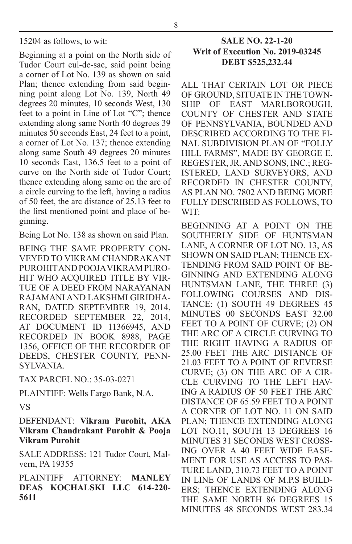Beginning at a point on the North side of Tudor Court cul-de-sac, said point being a corner of Lot No. 139 as shown on said Plan; thence extending from said beginning point along Lot No. 139, North 49 degrees 20 minutes, 10 seconds West, 130 feet to a point in Line of Lot "C"; thence extending along same North 40 degrees 39 minutes 50 seconds East, 24 feet to a point, a corner of Lot No. 137; thence extending along same South 49 degrees 20 minutes 10 seconds East, 136.5 feet to a point of curve on the North side of Tudor Court; thence extending along same on the arc of a circle curving to the left, having a radius of 50 feet, the arc distance of 25.13 feet to the first mentioned point and place of beginning.

Being Lot No. 138 as shown on said Plan.

BEING THE SAME PROPERTY CON-VEYED TO VIKRAM CHANDRAKANT PUROHIT AND POOJA VIKRAM PURO-HIT WHO ACQUIRED TITLE BY VIR-TUE OF A DEED FROM NARAYANAN RAJAMANI AND LAKSHMI GIRIDHA-RAN, DATED SEPTEMBER 19, 2014, RECORDED SEPTEMBER 22, 2014, AT DOCUMENT ID 11366945, AND RECORDED IN BOOK 8988, PAGE 1356, OFFICE OF THE RECORDER OF DEEDS, CHESTER COUNTY, PENN-SYLVANIA.

TAX PARCEL NO.: 35-03-0271

PLAINTIFF: Wells Fargo Bank, N.A. VS

DEFENDANT: **Vikram Purohit, AKA Vikram Chandrakant Purohit & Pooja Vikram Purohit**

SALE ADDRESS: 121 Tudor Court, Malvern, PA 19355

PLAINTIFF ATTORNEY: **MANLEY DEAS KOCHALSKI LLC 614-220- 5611**

#### **SALE NO. 22-1-20 Writ of Execution No. 2019-03245 DEBT \$525,232.44**

ALL THAT CERTAIN LOT OR PIECE OF GROUND, SITUATE IN THE TOWN-SHIP OF EAST MARLBOROUGH, COUNTY OF CHESTER AND STATE OF PENNSYLVANIA, BOUNDED AND DESCRIBED ACCORDING TO THE FI-NAL SUBDIVISION PLAN OF "FOLLY HILL FARMS", MADE BY GEORGE E. REGESTER, JR. AND SONS, INC.; REG-ISTERED, LAND SURVEYORS, AND RECORDED IN CHESTER COUNTY, AS PLAN NO. 7802 AND BEING MORE FULLY DESCRIBED AS FOLLOWS, TO WIT:

BEGINNING AT A POINT ON THE SOUTHERLY SIDE OF HUNTSMAN LANE, A CORNER OF LOT NO. 13, AS SHOWN ON SAID PLAN; THENCE EX-TENDING FROM SAID POINT OF BE-GINNING AND EXTENDING ALONG HUNTSMAN LANE, THE THREE (3) FOLLOWING COURSES AND DIS-TANCE: (1) SOUTH 49 DEGREES 45 MINUTES 00 SECONDS EAST 32.00 FEET TO A POINT OF CURVE; (2) ON THE ARC OF A CIRCLE CURVING TO THE RIGHT HAVING A RADIUS OF 25.00 FEET THE ARC DISTANCE OF 21.03 FEET TO A POINT OF REVERSE CURVE; (3) ON THE ARC OF A CIR-CLE CURVING TO THE LEFT HAV-ING A RADIUS OF 50 FEET THE ARC DISTANCE OF 65.59 FEET TO A POINT A CORNER OF LOT NO. 11 ON SAID PLAN; THENCE EXTENDING ALONG LOT NO.11, SOUTH 13 DEGREES 16 MINUTES 31 SECONDS WEST CROSS-ING OVER A 40 FEET WIDE EASE-MENT FOR USE AS ACCESS TO PAS-TURE LAND, 310.73 FEET TO A POINT IN LINE OF LANDS OF M.P.S BUILD-ERS; THENCE EXTENDING ALONG THE SAME NORTH 86 DEGREES 15 MINUTES 48 SECONDS WEST 283.34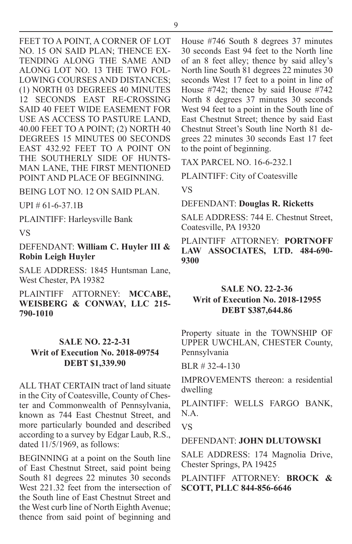FEET TO A POINT, A CORNER OF LOT NO. 15 ON SAID PLAN; THENCE EX-TENDING ALONG THE SAME AND ALONG LOT NO. 13 THE TWO FOL-LOWING COURSES AND DISTANCES; (1) NORTH 03 DEGREES 40 MINUTES 12 SECONDS EAST RE-CROSSING SAID 40 FEET WIDE EASEMENT FOR USE AS ACCESS TO PASTURE LAND, 40.00 FEET TO A POINT; (2) NORTH 40 DEGREES 15 MINUTES 00 SECONDS EAST 432.92 FEET TO A POINT ON THE SOUTHERLY SIDE OF HUNTS-MAN LANE, THE FIRST MENTIONED POINT AND PLACE OF BEGINNING.

BEING LOT NO. 12 ON SAID PLAN.

UPI # 61-6-37.1B

PLAINTIFF: Harleysville Bank

#### VS

DEFENDANT: **William C. Huyler III & Robin Leigh Huyler**

SALE ADDRESS: 1845 Huntsman Lane, West Chester, PA 19382

PLAINTIFF ATTORNEY: **MCCABE, WEISBERG & CONWAY, LLC 215- 790-1010**

#### **SALE NO. 22-2-31 Writ of Execution No. 2018-09754 DEBT \$1,339.90**

ALL THAT CERTAIN tract of land situate in the City of Coatesville, County of Chester and Commonwealth of Pennsylvania, known as 744 East Chestnut Street, and more particularly bounded and described according to a survey by Edgar Laub, R.S., dated  $11/5/1969$ , as follows:

BEGINNING at a point on the South line of East Chestnut Street, said point being South 81 degrees 22 minutes 30 seconds West 221.32 feet from the intersection of the South line of East Chestnut Street and the West curb line of North Eighth Avenue; thence from said point of beginning and

House #746 South 8 degrees 37 minutes 30 seconds East 94 feet to the North line of an 8 feet alley; thence by said alley's North line South 81 degrees 22 minutes 30 seconds West 17 feet to a point in line of House #742; thence by said House #742 North 8 degrees 37 minutes 30 seconds West 94 feet to a point in the South line of East Chestnut Street; thence by said East Chestnut Street's South line North 81 degrees 22 minutes 30 seconds East 17 feet to the point of beginning.

TAX PARCEL NO. 16-6-232.1

PLAINTIFF: City of Coatesville

VS

DEFENDANT: **Douglas R. Ricketts**

SALE ADDRESS: 744 E. Chestnut Street, Coatesville, PA 19320

PLAINTIFF ATTORNEY: **PORTNOFF LAW ASSOCIATES, LTD. 484-690- 9300**

#### **SALE NO. 22-2-36 Writ of Execution No. 2018-12955 DEBT \$387,644.86**

Property situate in the TOWNSHIP OF UPPER UWCHLAN, CHESTER County, Pennsylvania

BLR # 32-4-130

IMPROVEMENTS thereon: a residential dwelling

PLAINTIFF: WELLS FARGO BANK, N.A.

VS

#### DEFENDANT: **JOHN DLUTOWSKI**

SALE ADDRESS: 174 Magnolia Drive, Chester Springs, PA 19425

PLAINTIFF ATTORNEY: **BROCK & SCOTT, PLLC 844-856-6646**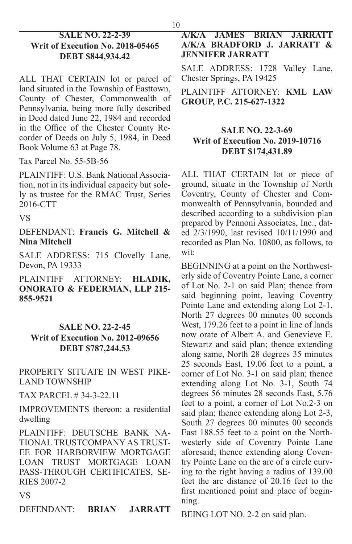#### **SALE NO. 22-2-39 Writ of Execution No. 2018-05465 DEBT \$844,934.42**

ALL THAT CERTAIN lot or parcel of land situated in the Township of Easttown, County of Chester, Commonwealth of Pennsylvania, being more fully described in Deed dated June 22, 1984 and recorded in the Office of the Chester County Recorder of Deeds on July 5, 1984, in Deed Book Volume 63 at Page 78.

Tax Parcel No. 55-5B-56

PLAINTIFF: U.S. Bank National Association, not in its individual capacity but solely as trustee for the RMAC Trust, Series 2016-CTT

VS

DEFENDANT: **Francis G. Mitchell & Nina Mitchell**

SALE ADDRESS: 715 Clovelly Lane, Devon, PA 19333

PLAINTIFF ATTORNEY: **HLADIK, ONORATO & FEDERMAN, LLP 215- 855-9521**

#### **SALE NO. 22-2-45**

#### **Writ of Execution No. 2012-09656 DEBT \$787,244.53**

PROPERTY SITUATE IN WEST PIKE-LAND TOWNSHIP

TAX PARCEL # 34-3-22.11

IMPROVEMENTS thereon: a residential dwelling

PLAINTIFF: DEUTSCHE BANK NA-TIONAL TRUSTCOMPANY AS TRUST-EE FOR HARBORVIEW MORTGAGE LOAN TRUST MORTGAGE LOAN PASS-THROUGH CERTIFICATES, SE-RIES 2007-2

#### VS

DEFENDANT: **BRIAN JARRATT** 

#### **A/K/A JAMES BRIAN JARRATT A/K/A BRADFORD J. JARRATT & JENNIFER JARRATT**

SALE ADDRESS: 1728 Valley Lane, Chester Springs, PA 19425

PLAINTIFF ATTORNEY: **KML LAW GROUP, P.C. 215-627-1322**

#### **SALE NO. 22-3-69 Writ of Execution No. 2019-10716 DEBT \$174,431.89**

ALL THAT CERTAIN lot or piece of ground, situate in the Township of North Coventry, County of Chester and Commonwealth of Pennsylvania, bounded and described according to a subdivision plan prepared by Pennoni Associates, Inc., dated 2/3/1990, last revised 10/11/1990 and recorded as Plan No. 10800, as follows, to wit:

BEGINNING at a point on the Northwesterly side of Coventry Pointe Lane, a corner of Lot No. 2-1 on said Plan; thence from said beginning point, leaving Coventry Pointe Lane and extending along Lot 2-1, North 27 degrees 00 minutes 00 seconds West, 179.26 feet to a point in line of lands now orate of Albert A. and Genevieve E. Stewartz and said plan; thence extending along same, North 28 degrees 35 minutes 25 seconds East, 19.06 feet to a point, a corner of Lot No. 3-1 on said plan; thence extending along Lot No. 3-1, South 74 degrees 56 minutes 28 seconds East, 5.76 feet to a point, a corner of Lot No.2-3 on said plan; thence extending along Lot 2-3, South 27 degrees 00 minutes 00 seconds East 188.55 feet to a point on the Northwesterly side of Coventry Pointe Lane aforesaid; thence extending along Coventry Pointe Lane on the arc of a circle curving to the right having a radius of 139.00 feet the arc distance of 20.16 feet to the first mentioned point and place of beginning.

BEING LOT NO. 2-2 on said plan.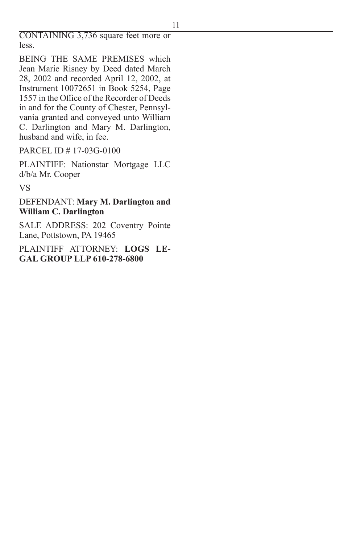CONTAINING 3,736 square feet more or less.

BEING THE SAME PREMISES which Jean Marie Risney by Deed dated March 28, 2002 and recorded April 12, 2002, at Instrument 10072651 in Book 5254, Page 1557 in the Office of the Recorder of Deeds in and for the County of Chester, Pennsylvania granted and conveyed unto William C. Darlington and Mary M. Darlington, husband and wife, in fee.

PARCEL ID # 17-03G-0100

PLAINTIFF: Nationstar Mortgage LLC d/b/a Mr. Cooper

VS

DEFENDANT: **Mary M. Darlington and William C. Darlington**

SALE ADDRESS: 202 Coventry Pointe Lane, Pottstown, PA 19465

PLAINTIFF ATTORNEY: **LOGS LE-GAL GROUP LLP 610-278-6800**